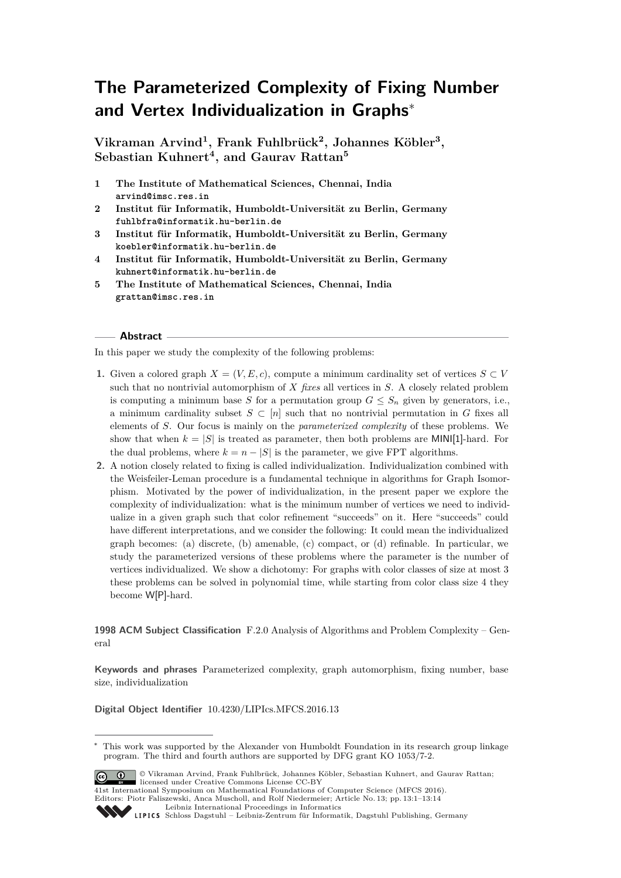# **The Parameterized Complexity of Fixing Number and Vertex Individualization in Graphs**<sup>∗</sup>

**Vikraman Arvind<sup>1</sup> , Frank Fuhlbrück<sup>2</sup> , Johannes Köbler<sup>3</sup> , Sebastian Kuhnert<sup>4</sup> , and Gaurav Rattan<sup>5</sup>**

- **1 The Institute of Mathematical Sciences, Chennai, India arvind@imsc.res.in**
- **2 Institut für Informatik, Humboldt-Universität zu Berlin, Germany fuhlbfra@informatik.hu-berlin.de**
- **3 Institut für Informatik, Humboldt-Universität zu Berlin, Germany koebler@informatik.hu-berlin.de**
- **4 Institut für Informatik, Humboldt-Universität zu Berlin, Germany kuhnert@informatik.hu-berlin.de**
- **5 The Institute of Mathematical Sciences, Chennai, India grattan@imsc.res.in**

# **Abstract**

In this paper we study the complexity of the following problems:

- **1.** Given a colored graph  $X = (V, E, c)$ , compute a minimum cardinality set of vertices  $S \subset V$ such that no nontrivial automorphism of *X fixes* all vertices in *S*. A closely related problem is computing a minimum base *S* for a permutation group  $G \leq S_n$  given by generators, i.e., a minimum cardinality subset  $S \subset [n]$  such that no nontrivial permutation in *G* fixes all elements of *S*. Our focus is mainly on the *parameterized complexity* of these problems. We show that when  $k = |S|$  is treated as parameter, then both problems are MINI[1]-hard. For the dual problems, where  $k = n - |S|$  is the parameter, we give FPT algorithms.
- **2.** A notion closely related to fixing is called individualization. Individualization combined with the Weisfeiler-Leman procedure is a fundamental technique in algorithms for Graph Isomorphism. Motivated by the power of individualization, in the present paper we explore the complexity of individualization: what is the minimum number of vertices we need to individualize in a given graph such that color refinement "succeeds" on it. Here "succeeds" could have different interpretations, and we consider the following: It could mean the individualized graph becomes: (a) discrete, (b) amenable, (c) compact, or (d) refinable. In particular, we study the parameterized versions of these problems where the parameter is the number of vertices individualized. We show a dichotomy: For graphs with color classes of size at most 3 these problems can be solved in polynomial time, while starting from color class size 4 they become W[P]-hard.

# **1998 ACM Subject Classification** F.2.0 Analysis of Algorithms and Problem Complexity – General

**Keywords and phrases** Parameterized complexity, graph automorphism, fixing number, base size, individualization

**Digital Object Identifier** [10.4230/LIPIcs.MFCS.2016.13](http://dx.doi.org/10.4230/LIPIcs.MFCS.2016.13)

<sup>∗</sup> This work was supported by the Alexander von Humboldt Foundation in its research group linkage program. The third and fourth authors are supported by DFG grant KO 1053/7-2.



© Vikraman Arvind, Frank Fuhlbrück, Johannes Köbler, Sebastian Kuhnert, and Gaurav Rattan; licensed under Creative Commons License CC-BY

41st International Symposium on Mathematical Foundations of Computer Science (MFCS 2016). Editors: Piotr Faliszewski, Anca Muscholl, and Rolf Niedermeier; Article No. 13; pp. 13:1–13[:14](#page-13-0)

[Leibniz International Proceedings in Informatics](http://www.dagstuhl.de/lipics/)

```
Schloss Dagstuhl – Leibniz-Zentrum für Informatik, Dagstuhl Publishing, Germany
```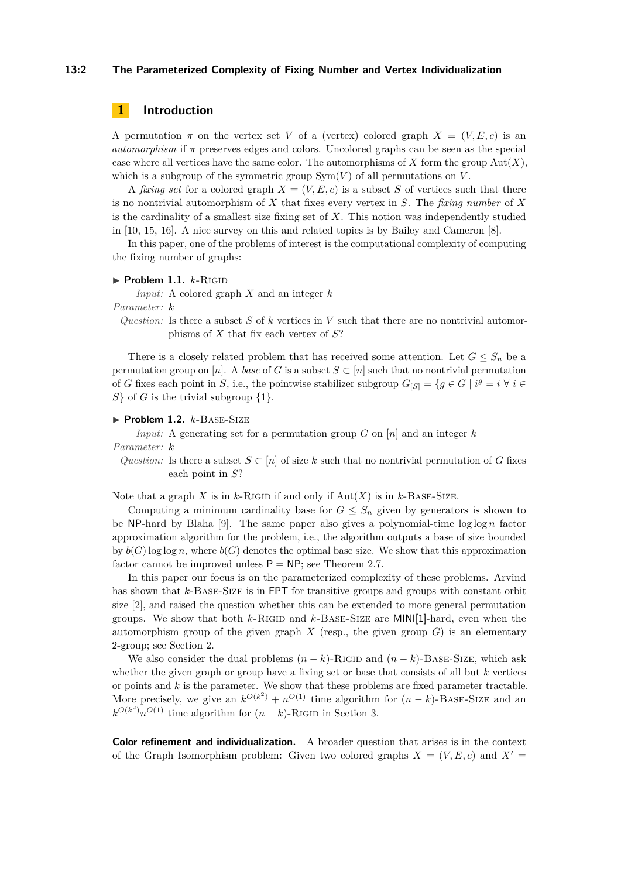#### **13:2 The Parameterized Complexity of Fixing Number and Vertex Individualization**

# **1 Introduction**

A permutation  $\pi$  on the vertex set *V* of a (vertex) colored graph  $X = (V, E, c)$  is an *automorphism* if *π* preserves edges and colors. Uncolored graphs can be seen as the special case where all vertices have the same color. The automorphisms of  $X$  form the group  $Aut(X)$ , which is a subgroup of the symmetric group  $Sym(V)$  of all permutations on  $V$ .

A *fixing set* for a colored graph  $X = (V, E, c)$  is a subset *S* of vertices such that there is no nontrivial automorphism of *X* that fixes every vertex in *S*. The *fixing number* of *X* is the cardinality of a smallest size fixing set of *X*. This notion was independently studied in [\[10,](#page-12-0) [15,](#page-12-1) [16\]](#page-12-2). A nice survey on this and related topics is by Bailey and Cameron [\[8\]](#page-12-3).

In this paper, one of the problems of interest is the computational complexity of computing the fixing number of graphs:

#### $\blacktriangleright$  **Problem 1.1.**  $k$ -RIGID

*Input:* A colored graph *X* and an integer *k*

*Parameter: k*

*Question:* Is there a subset *S* of *k* vertices in *V* such that there are no nontrivial automorphisms of *X* that fix each vertex of *S*?

There is a closely related problem that has received some attention. Let  $G \leq S_n$  be a permutation group on [*n*]. A *base* of *G* is a subset  $S \subset [n]$  such that no nontrivial permutation of *G* fixes each point in *S*, i.e., the pointwise stabilizer subgroup  $G_{[S]} = \{g \in G \mid i^g = i \; \forall \; i \in$ *S*} of *G* is the trivial subgroup {1}.

## $\blacktriangleright$  **Problem 1.2.**  $k$ -BASE-SIZE

*Input:* A generating set for a permutation group *G* on [*n*] and an integer *k*

*Parameter: k*

*Question:* Is there a subset  $S \subset [n]$  of size k such that no nontrivial permutation of *G* fixes each point in *S*?

Note that a graph *X* is in *k*-RIGID if and only if  $Aut(X)$  is in *k*-BASE-SIZE.

Computing a minimum cardinality base for  $G \leq S_n$  given by generators is shown to be NP-hard by Blaha [\[9\]](#page-12-4). The same paper also gives a polynomial-time log log *n* factor approximation algorithm for the problem, i.e., the algorithm outputs a base of size bounded by  $b(G)$  log log *n*, where  $b(G)$  denotes the optimal base size. We show that this approximation factor cannot be improved unless  $P = NP$ ; see Theorem [2.7.](#page-4-0)

In this paper our focus is on the parameterized complexity of these problems. Arvind has shown that *k*-Base-Size is in FPT for transitive groups and groups with constant orbit size [\[2\]](#page-12-5), and raised the question whether this can be extended to more general permutation groups. We show that both *k*-Rigid and *k*-Base-Size are MINI[1]-hard, even when the automorphism group of the given graph  $X$  (resp., the given group  $G$ ) is an elementary 2-group; see Section [2.](#page-3-0)

We also consider the dual problems  $(n - k)$ -RIGID and  $(n - k)$ -BASE-SIZE, which ask whether the given graph or group have a fixing set or base that consists of all but *k* vertices or points and *k* is the parameter. We show that these problems are fixed parameter tractable. More precisely, we give an  $k^{O(k^2)} + n^{O(1)}$  time algorithm for  $(n - k)$ -BASE-SIZE and an  $k^{O(k^2)}n^{O(1)}$  time algorithm for  $(n-k)$ -RIGID in Section [3.](#page-5-0)

**Color refinement and individualization.** A broader question that arises is in the context of the Graph Isomorphism problem: Given two colored graphs  $X = (V, E, c)$  and  $X' =$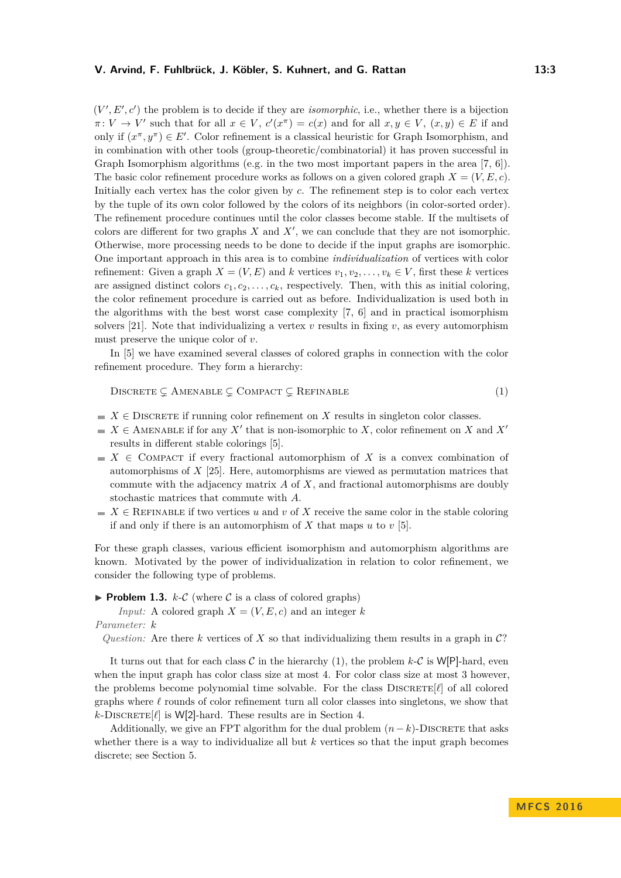$(V', E', c')$  the problem is to decide if they are *isomorphic*, i.e., whether there is a bijection  $\pi: V \to V'$  such that for all  $x \in V$ ,  $c'(x^{\pi}) = c(x)$  and for all  $x, y \in V$ ,  $(x, y) \in E$  if and only if  $(x^{\pi}, y^{\pi}) \in E'$ . Color refinement is a classical heuristic for Graph Isomorphism, and in combination with other tools (group-theoretic/combinatorial) it has proven successful in Graph Isomorphism algorithms (e.g. in the two most important papers in the area [\[7,](#page-12-6) [6\]](#page-12-7)). The basic color refinement procedure works as follows on a given colored graph  $X = (V, E, c)$ . Initially each vertex has the color given by *c*. The refinement step is to color each vertex by the tuple of its own color followed by the colors of its neighbors (in color-sorted order). The refinement procedure continues until the color classes become stable. If the multisets of colors are different for two graphs  $X$  and  $X'$ , we can conclude that they are not isomorphic. Otherwise, more processing needs to be done to decide if the input graphs are isomorphic. One important approach in this area is to combine *individualization* of vertices with color refinement: Given a graph  $X = (V, E)$  and *k* vertices  $v_1, v_2, \ldots, v_k \in V$ , first these *k* vertices are assigned distinct colors  $c_1, c_2, \ldots, c_k$ , respectively. Then, with this as initial coloring, the color refinement procedure is carried out as before. Individualization is used both in the algorithms with the best worst case complexity [\[7,](#page-12-6) [6\]](#page-12-7) and in practical isomorphism solvers [\[21\]](#page-13-1). Note that individualizing a vertex  $v$  results in fixing  $v$ , as every automorphism must preserve the unique color of *v*.

In [\[5\]](#page-12-8) we have examined several classes of colored graphs in connection with the color refinement procedure. They form a hierarchy:

<span id="page-2-0"></span>
$$
Discrette \subsetneq \text{Amenable} \subsetneq \text{Compact} \subsetneq \text{Refinal}
$$
\n
$$
(1)
$$

- $X \in$  DISCRETE if running color refinement on *X* results in singleton color classes.
- $X \in \text{AMENABLE}$  if for any  $X'$  that is non-isomorphic to *X*, color refinement on *X* and  $X'$ results in different stable colorings [\[5\]](#page-12-8).
- $\blacksquare$  *X*  $\in$  COMPACT if every fractional automorphism of *X* is a convex combination of automorphisms of *X* [\[25\]](#page-13-2). Here, automorphisms are viewed as permutation matrices that commute with the adjacency matrix *A* of *X*, and fractional automorphisms are doubly stochastic matrices that commute with *A*.
- $\blacksquare$  *X*  $\in$  REFINABLE if two vertices *u* and *v* of *X* receive the same color in the stable coloring if and only if there is an automorphism of *X* that maps *u* to *v* [\[5\]](#page-12-8).

For these graph classes, various efficient isomorphism and automorphism algorithms are known. Motivated by the power of individualization in relation to color refinement, we consider the following type of problems.

**Problem 1.3.**  $k\text{-}\mathcal{C}$  (where  $\mathcal{C}$  is a class of colored graphs)

*Input:* A colored graph  $X = (V, E, c)$  and an integer k

#### *Parameter: k*

*Question:* Are there  $k$  vertices of  $X$  so that individualizing them results in a graph in  $\mathcal{C}$ ?

It turns out that for each class  $C$  in the hierarchy [\(1\)](#page-2-0), the problem  $k\text{-}C$  is W[P]-hard, even when the input graph has color class size at most 4. For color class size at most 3 however, the problems become polynomial time solvable. For the class  $\text{DISCRETE}[\ell]$  of all colored graphs where  $\ell$  rounds of color refinement turn all color classes into singletons, we show that  $k$ -DISCRETE $[\ell]$  is W[2]-hard. These results are in Section [4.](#page-6-0)

Additionally, we give an FPT algorithm for the dual problem  $(n - k)$ -DISCRETE that asks whether there is a way to individualize all but *k* vertices so that the input graph becomes discrete; see Section [5.](#page-10-0)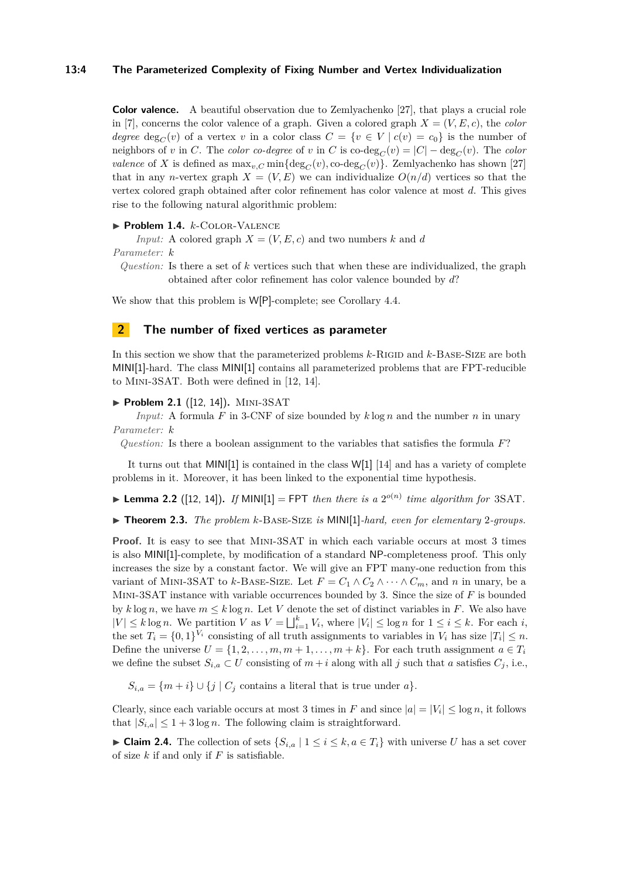#### **13:4 The Parameterized Complexity of Fixing Number and Vertex Individualization**

**Color valence.** A beautiful observation due to Zemlyachenko [\[27\]](#page-13-3), that plays a crucial role in [\[7\]](#page-12-6), concerns the color valence of a graph. Given a colored graph  $X = (V, E, c)$ , the *color degree* deg<sub>*C*</sub>(*v*) of a vertex *v* in a color class  $C = \{v \in V \mid c(v) = c_0\}$  is the number of neighbors of *v* in *C*. The *color co-degree* of *v* in *C* is co-deg<sub>*C*</sub>(*v*) =  $|C|$  – deg<sub>*C*</sub>(*v*). The *color valence* of *X* is defined as  $\max_{v,C} \min\{\deg_C(v), \text{co-deg}_C(v)\}\$ . Zemlyachenko has shown [\[27\]](#page-13-3) that in any *n*-vertex graph  $X = (V, E)$  we can individualize  $O(n/d)$  vertices so that the vertex colored graph obtained after color refinement has color valence at most *d*. This gives rise to the following natural algorithmic problem:

▶ Problem 1.4. *k*-COLOR-VALENCE

*Input:* A colored graph  $X = (V, E, c)$  and two numbers k and d *Parameter: k*

*Question:* Is there a set of *k* vertices such that when these are individualized, the graph obtained after color refinement has color valence bounded by *d*?

We show that this problem is W[P]-complete; see Corollary [4.4.](#page-8-0)

## <span id="page-3-0"></span>**2 The number of fixed vertices as parameter**

In this section we show that the parameterized problems  $k$ -RIGID and  $k$ -BASE-SIZE are both MINI[1]-hard. The class MINI[1] contains all parameterized problems that are FPT-reducible to Mini-3SAT. Both were defined in [\[12,](#page-12-9) [14\]](#page-12-10).

#### ▶ **Problem 2.1** ([\[12,](#page-12-9) [14\]](#page-12-10)). MINI-3SAT

*Input:* A formula *F* in 3-CNF of size bounded by *k* log *n* and the number *n* in unary *Parameter: k*

*Question:* Is there a boolean assignment to the variables that satisfies the formula *F*?

It turns out that MINI[1] is contained in the class W[1] [\[14\]](#page-12-10) and has a variety of complete problems in it. Moreover, it has been linked to the exponential time hypothesis.

**Example 2.2** ([\[12,](#page-12-9) [14\]](#page-12-10)). If MINI[1] = FPT then there is a  $2^{o(n)}$  time algorithm for 3SAT.

<span id="page-3-1"></span>▶ **Theorem 2.3.** *The problem k*-BASE-SIZE *is* MINI[1]*-hard, even for elementary* 2*-groups.* 

**Proof.** It is easy to see that MINI-3SAT in which each variable occurs at most 3 times is also MINI[1]-complete, by modification of a standard NP-completeness proof. This only increases the size by a constant factor. We will give an FPT many-one reduction from this variant of MINI-3SAT to *k*-BASE-SIZE. Let  $F = C_1 \wedge C_2 \wedge \cdots \wedge C_m$ , and *n* in unary, be a Mini-3SAT instance with variable occurrences bounded by 3. Since the size of *F* is bounded by  $k \log n$ , we have  $m \leq k \log n$ . Let V denote the set of distinct variables in F. We also have  $|V| \leq k \log n$ . We partition *V* as  $V = \bigsqcup_{i=1}^k V_i$ , where  $|V_i| \leq \log n$  for  $1 \leq i \leq k$ . For each *i*, the set  $T_i = \{0, 1\}^{V_i}$  consisting of all truth assignments to variables in  $V_i$  has size  $|T_i| \leq n$ . Define the universe  $U = \{1, 2, \ldots, m, m + 1, \ldots, m + k\}$ . For each truth assignment  $a \in T_i$ we define the subset  $S_{i,a} \subset U$  consisting of  $m + i$  along with all *j* such that *a* satisfies  $C_j$ , i.e.,

 $S_{i,a} = \{m+i\} \cup \{j \mid C_j \text{ contains a literal that is true under } a\}.$ 

Clearly, since each variable occurs at most 3 times in *F* and since  $|a| = |V_i| \le \log n$ , it follows that  $|S_{i,a}| \leq 1 + 3 \log n$ . The following claim is straightforward.

<span id="page-3-2"></span>► Claim 2.4. The collection of sets  $\{S_{i,a} \mid 1 \leq i \leq k, a \in T_i\}$  with universe *U* has a set cover of size *k* if and only if *F* is satisfiable.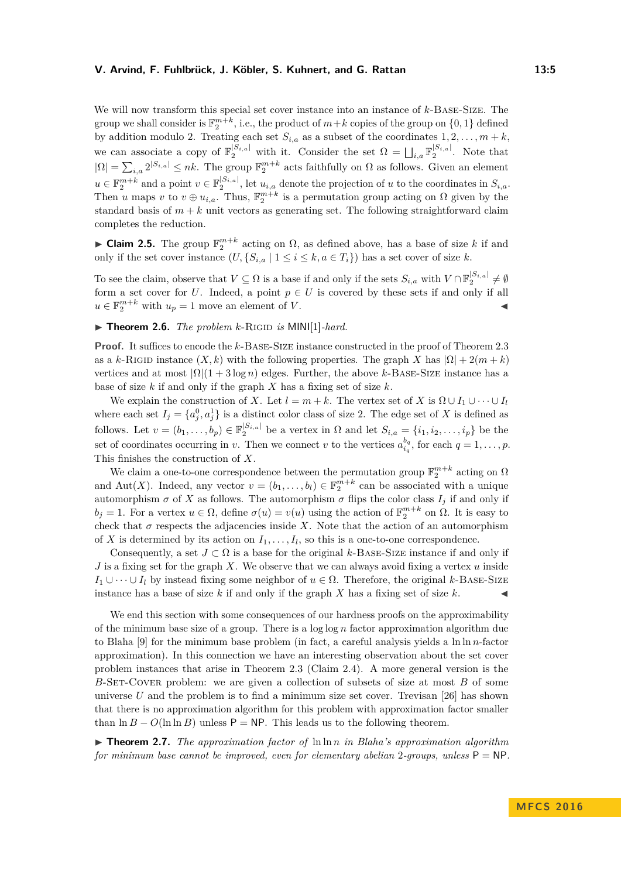#### **V. Arvind, F. Fuhlbrück, J. Köbler, S. Kuhnert, and G. Rattan 13:5**

We will now transform this special set cover instance into an instance of *k*-Base-Size. The group we shall consider is  $\mathbb{F}_2^{m+k}$ , i.e., the product of  $m+k$  copies of the group on  $\{0,1\}$  defined by addition modulo 2. Treating each set  $S_{i,a}$  as a subset of the coordinates  $1, 2, \ldots, m + k$ , we can associate a copy of  $\mathbb{F}_2^{|S_{i,a}|}$  with it. Consider the set  $\Omega = \bigsqcup_{i,a} \mathbb{F}_2^{|S_{i,a}|}$ . Note that  $|\Omega| = \sum_{i,a} 2^{|S_{i,a}|} \leq nk$ . The group  $\mathbb{F}_2^{m+k}$  acts faithfully on  $\Omega$  as follows. Given an element  $u \in \mathbb{F}_2^{m+k}$  and a point  $v \in \mathbb{F}_2^{|S_{i,a}|}$ , let  $u_{i,a}$  denote the projection of *u* to the coordinates in  $S_{i,a}$ . Then *u* maps *v* to  $v \oplus u_{i,a}$ . Thus,  $\mathbb{F}_2^{m+k}$  is a permutation group acting on  $\Omega$  given by the standard basis of  $m + k$  unit vectors as generating set. The following straightforward claim completes the reduction.

► Claim 2.5. The group  $\mathbb{F}_2^{m+k}$  acting on Ω, as defined above, has a base of size *k* if and only if the set cover instance  $(U, \{S_{i,a} \mid 1 \leq i \leq k, a \in T_i\})$  has a set cover of size *k*.

To see the claim, observe that  $V \subseteq \Omega$  is a base if and only if the sets  $S_{i,a}$  with  $V \cap \mathbb{F}_2^{|S_{i,a}|} \neq \emptyset$ form a set cover for *U*. Indeed, a point  $p \in U$  is covered by these sets if and only if all  $u \in \mathbb{F}_2^{m+k}$  with  $u_p = 1$  move an element of *V*.

# ▶ **Theorem 2.6.** *The problem k*-RIGID *is* MINI[1]-hard.

**Proof.** It suffices to encode the *k*-Base-Size instance constructed in the proof of Theorem [2.3](#page-3-1) as a *k*-RIGID instance  $(X, k)$  with the following properties. The graph X has  $|\Omega| + 2(m + k)$ vertices and at most  $|\Omega|(1+3 \log n)$  edges. Further, the above *k*-BASE-SIZE instance has a base of size *k* if and only if the graph *X* has a fixing set of size *k*.

We explain the construction of *X*. Let  $l = m + k$ . The vertex set of *X* is  $\Omega \cup I_1 \cup \cdots \cup I_l$ where each set  $I_j = \{a_j^0, a_j^1\}$  is a distinct color class of size 2. The edge set of *X* is defined as follows. Let  $v = (b_1, \ldots, b_p) \in \mathbb{F}_2^{|S_{i,a}|}$  be a vertex in  $\Omega$  and let  $S_{i,a} = \{i_1, i_2, \ldots, i_p\}$  be the set of coordinates occurring in *v*. Then we connect *v* to the vertices  $a_i^{b_q}$  $\sum_{i_q}^{o_q}$ , for each  $q = 1, \ldots, p$ . This finishes the construction of *X*.

We claim a one-to-one correspondence between the permutation group  $\mathbb{F}_2^{m+k}$  acting on  $\Omega$ and Aut(X). Indeed, any vector  $v = (b_1, \ldots, b_l) \in \mathbb{F}_2^{m+k}$  can be associated with a unique automorphism  $\sigma$  of X as follows. The automorphism  $\sigma$  flips the color class  $I_j$  if and only if *b*<sub>*j*</sub> = 1. For a vertex *u* ∈ Ω, define *σ*(*u*) = *v*(*u*) using the action of  $\mathbb{F}_2^{m+k}$  on Ω. It is easy to check that  $\sigma$  respects the adjacencies inside *X*. Note that the action of an automorphism of *X* is determined by its action on  $I_1, \ldots, I_l$ , so this is a one-to-one correspondence.

Consequently, a set  $J \subset \Omega$  is a base for the original *k*-BASE-SIZE instance if and only if *J* is a fixing set for the graph *X*. We observe that we can always avoid fixing a vertex *u* inside *I*<sub>1</sub> ∪ · · · ∪ *I*<sub>l</sub> by instead fixing some neighbor of  $u \in \Omega$ . Therefore, the original *k*-BASE-SIZE instance has a base of size  $k$  if and only if the graph  $X$  has a fixing set of size  $k$ .

We end this section with some consequences of our hardness proofs on the approximability of the minimum base size of a group. There is a log log *n* factor approximation algorithm due to Blaha [\[9\]](#page-12-4) for the minimum base problem (in fact, a careful analysis yields a ln ln *n*-factor approximation). In this connection we have an interesting observation about the set cover problem instances that arise in Theorem [2.3](#page-3-1) (Claim [2.4\)](#page-3-2). A more general version is the *B*-Set-Cover problem: we are given a collection of subsets of size at most *B* of some universe  $U$  and the problem is to find a minimum size set cover. Trevisan [\[26\]](#page-13-4) has shown that there is no approximation algorithm for this problem with approximation factor smaller than  $\ln B - O(\ln \ln B)$  unless  $P = NP$ . This leads us to the following theorem.

<span id="page-4-0"></span>I **Theorem 2.7.** *The approximation factor of* ln ln *n in Blaha's approximation algorithm for minimum base cannot be improved, even for elementary abelian* 2-groups, unless  $P = NP$ .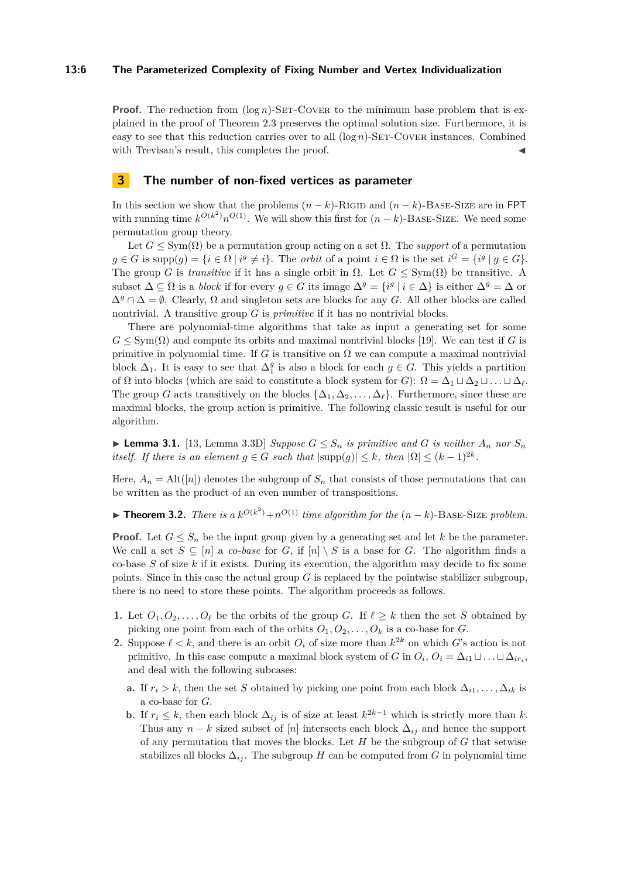#### **13:6 The Parameterized Complexity of Fixing Number and Vertex Individualization**

**Proof.** The reduction from  $(\log n)$ -SET-COVER to the minimum base problem that is explained in the proof of Theorem [2.3](#page-3-1) preserves the optimal solution size. Furthermore, it is easy to see that this reduction carries over to all  $(\log n)$ -SET-COVER instances. Combined with Trevisan's result, this completes the proof.

# <span id="page-5-0"></span>**3 The number of non-fixed vertices as parameter**

In this section we show that the problems  $(n - k)$ -RIGID and  $(n - k)$ -BASE-SIZE are in FPT with running time  $k^{O(k^2)}n^{O(1)}$ . We will show this first for  $(n-k)$ -BASE-SIZE. We need some permutation group theory.

Let  $G \le \text{Sym}(\Omega)$  be a permutation group acting on a set  $\Omega$ . The *support* of a permutation  $g \in G$  is  $\text{supp}(g) = \{i \in \Omega \mid i^g \neq i\}.$  The *orbit* of a point  $i \in \Omega$  is the set  $i^G = \{i^g \mid g \in G\}.$ The group *G* is *transitive* if it has a single orbit in  $\Omega$ . Let  $G \le \text{Sym}(\Omega)$  be transitive. A subset  $\Delta \subseteq \Omega$  is a *block* if for every  $g \in G$  its image  $\Delta^g = \{i^g \mid i \in \Delta\}$  is either  $\Delta^g = \Delta$  or  $\Delta^g \cap \Delta = \emptyset$ . Clearly,  $\Omega$  and singleton sets are blocks for any *G*. All other blocks are called nontrivial. A transitive group *G* is *primitive* if it has no nontrivial blocks.

There are polynomial-time algorithms that take as input a generating set for some  $G \leq \text{Sym}(\Omega)$  and compute its orbits and maximal nontrivial blocks [\[19\]](#page-13-5). We can test if *G* is primitive in polynomial time. If *G* is transitive on  $\Omega$  we can compute a maximal nontrivial block  $\Delta_1$ . It is easy to see that  $\Delta_1^g$  is also a block for each  $g \in G$ . This yields a partition of  $\Omega$  into blocks (which are said to constitute a block system for *G*):  $\Omega = \Delta_1 \sqcup \Delta_2 \sqcup \ldots \sqcup \Delta_\ell$ . The group *G* acts transitively on the blocks  $\{\Delta_1, \Delta_2, \ldots, \Delta_\ell\}$ . Furthermore, since these are maximal blocks, the group action is primitive. The following classic result is useful for our algorithm.

<span id="page-5-1"></span>▶ **Lemma 3.1.** [\[13,](#page-12-11) Lemma 3.3D] *Suppose*  $G \leq S_n$  *is primitive and*  $G$  *is neither*  $A_n$  *nor*  $S_n$ *itself. If there is an element*  $g \in G$  *such that*  $|\text{supp}(g)| \leq k$ , *then*  $|\Omega| \leq (k-1)^{2k}$ *.* 

Here,  $A_n = \text{Alt}([n])$  denotes the subgroup of  $S_n$  that consists of those permutations that can be written as the product of an even number of transpositions.

<span id="page-5-2"></span>▶ **Theorem 3.2.** *There is a*  $k^{O(k^2)} + n^{O(1)}$  *time algorithm for the*  $(n - k)$ -BASE-SIZE *problem.* 

**Proof.** Let  $G \leq S_n$  be the input group given by a generating set and let k be the parameter. We call a set  $S \subseteq [n]$  a *co-base* for *G*, if  $[n] \setminus S$  is a base for *G*. The algorithm finds a co-base *S* of size *k* if it exists. During its execution, the algorithm may decide to fix some points. Since in this case the actual group *G* is replaced by the pointwise stabilizer subgroup, there is no need to store these points. The algorithm proceeds as follows.

- **1.** Let  $O_1, O_2, \ldots, O_\ell$  be the orbits of the group *G*. If  $\ell \geq k$  then the set *S* obtained by picking one point from each of the orbits  $O_1, O_2, \ldots, O_k$  is a co-base for *G*.
- **2.** Suppose  $\ell < k$ , and there is an orbit  $O_i$  of size more than  $k^{2k}$  on which *G*'s action is not primitive. In this case compute a maximal block system of *G* in  $O_i$ ,  $O_i = \Delta_{i1} \sqcup \ldots \sqcup \Delta_{ir_i}$ , and deal with the following subcases:
	- **a.** If  $r_i > k$ , then the set *S* obtained by picking one point from each block  $\Delta_{i1}, \ldots, \Delta_{ik}$  is a co-base for *G*.
	- **b.** If  $r_i \leq k$ , then each block  $\Delta_{ij}$  is of size at least  $k^{2k-1}$  which is strictly more than *k*. Thus any  $n - k$  sized subset of [*n*] intersects each block  $\Delta_{ij}$  and hence the support of any permutation that moves the blocks. Let *H* be the subgroup of *G* that setwise stabilizes all blocks  $\Delta_{ij}$ . The subgroup *H* can be computed from *G* in polynomial time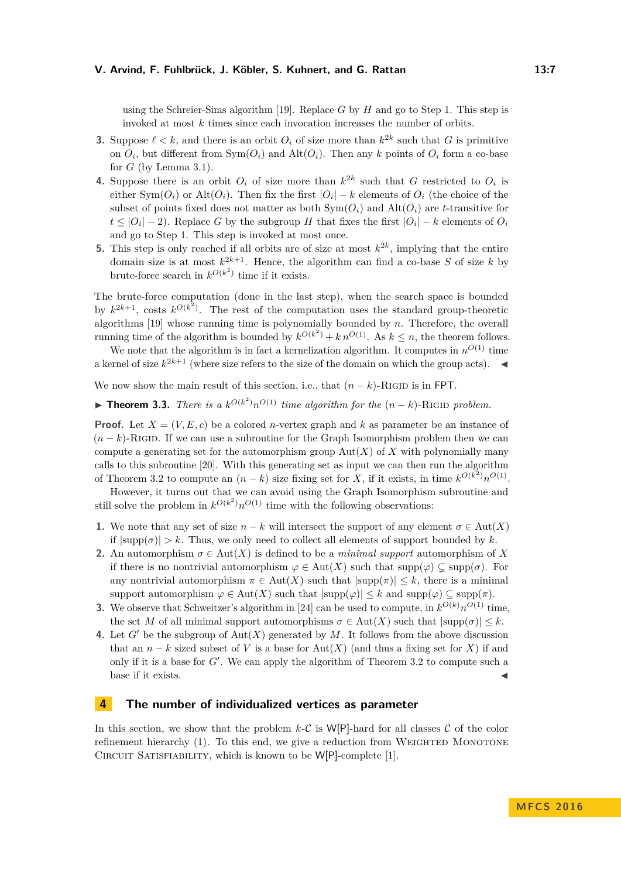using the Schreier-Sims algorithm [\[19\]](#page-13-5). Replace *G* by *H* and go to Step 1. This step is invoked at most *k* times since each invocation increases the number of orbits.

- **3.** Suppose  $\ell < k$ , and there is an orbit  $O_i$  of size more than  $k^{2k}$  such that *G* is primitive on  $O_i$ , but different from  $Sym(O_i)$  and  $Alt(O_i)$ . Then any *k* points of  $O_i$  form a co-base for *G* (by Lemma [3.1\)](#page-5-1).
- **4.** Suppose there is an orbit  $O_i$  of size more than  $k^{2k}$  such that *G* restricted to  $O_i$  is either  $Sym(O_i)$  or  $Alt(O_i)$ . Then fix the first  $|O_i| - k$  elements of  $O_i$  (the choice of the subset of points fixed does not matter as both  $Sym(O_i)$  and  $Alt(O_i)$  are *t*-transitive for  $t \leq |O_i| - 2$ ). Replace *G* by the subgroup *H* that fixes the first  $|O_i| - k$  elements of  $O_i$ and go to Step 1. This step is invoked at most once.
- **5.** This step is only reached if all orbits are of size at most  $k^{2k}$ , implying that the entire domain size is at most  $k^{2k+1}$ . Hence, the algorithm can find a co-base S of size k by brute-force search in  $k^{O(k^2)}$  time if it exists.

The brute-force computation (done in the last step), when the search space is bounded by  $k^{2k+1}$ , costs  $k^{O(k^2)}$ . The rest of the computation uses the standard group-theoretic algorithms [\[19\]](#page-13-5) whose running time is polynomially bounded by *n*. Therefore, the overall running time of the algorithm is bounded by  $k^{O(k^2)} + k n^{O(1)}$ . As  $k \leq n$ , the theorem follows.

We note that the algorithm is in fact a kernelization algorithm. It computes in  $n^{O(1)}$  time a kernel of size  $k^{2k+1}$  (where size refers to the size of the domain on which the group acts).

We now show the main result of this section, i.e., that  $(n - k)$ -RIGID is in FPT.

▶ **Theorem 3.3.** *There is a*  $k^{O(k^2)}n^{O(1)}$  *time algorithm for the*  $(n - k)$ -RIGID *problem.* 

**Proof.** Let  $X = (V, E, c)$  be a colored *n*-vertex graph and k as parameter be an instance of  $(n - k)$ -RIGID. If we can use a subroutine for the Graph Isomorphism problem then we can compute a generating set for the automorphism group  $Aut(X)$  of X with polynomially many calls to this subroutine [\[20\]](#page-13-6). With this generating set as input we can then run the algorithm of Theorem [3.2](#page-5-2) to compute an  $(n - k)$  size fixing set for *X*, if it exists, in time  $k^{O(k^2)}n^{O(1)}$ .

However, it turns out that we can avoid using the Graph Isomorphism subroutine and still solve the problem in  $k^{O(k^2)}n^{O(1)}$  time with the following observations:

- **1.** We note that any set of size *n* − *k* will intersect the support of any element *σ* ∈ Aut(*X*) if  $|\text{supp}(\sigma)| > k$ . Thus, we only need to collect all elements of support bounded by k.
- **2.** An automorphism  $\sigma \in Aut(X)$  is defined to be a *minimal support* automorphism of X if there is no nontrivial automorphism  $\varphi \in Aut(X)$  such that  $supp(\varphi) \subseteq supp(\sigma)$ . For any nontrivial automorphism  $\pi \in Aut(X)$  such that  $|\text{supp}(\pi)| \leq k$ , there is a minimal support automorphism  $\varphi \in Aut(X)$  such that  $|\text{supp}(\varphi)| \leq k$  and  $\text{supp}(\varphi) \subseteq \text{supp}(\pi)$ .
- **3.** We observe that Schweitzer's algorithm in [\[24\]](#page-13-7) can be used to compute, in  $k^{O(k)}n^{O(1)}$  time, the set *M* of all minimal support automorphisms  $\sigma \in Aut(X)$  such that  $|\text{supp}(\sigma)| \leq k$ .
- **4.** Let *G*<sup> $\prime$ </sup> be the subgroup of Aut $(X)$  generated by *M*. It follows from the above discussion that an  $n - k$  sized subset of *V* is a base for Aut(*X*) (and thus a fixing set for *X*) if and only if it is a base for  $G'$ . We can apply the algorithm of Theorem [3.2](#page-5-2) to compute such a base if it exists.

# <span id="page-6-0"></span>**4 The number of individualized vertices as parameter**

In this section, we show that the problem  $k\text{-}C$  is  $W[P]$ -hard for all classes C of the color refinement hierarchy  $(1)$ . To this end, we give a reduction from WEIGHTED MONOTONE CIRCUIT SATISFIABILITY, which is known to be W[P]-complete [\[1\]](#page-12-12).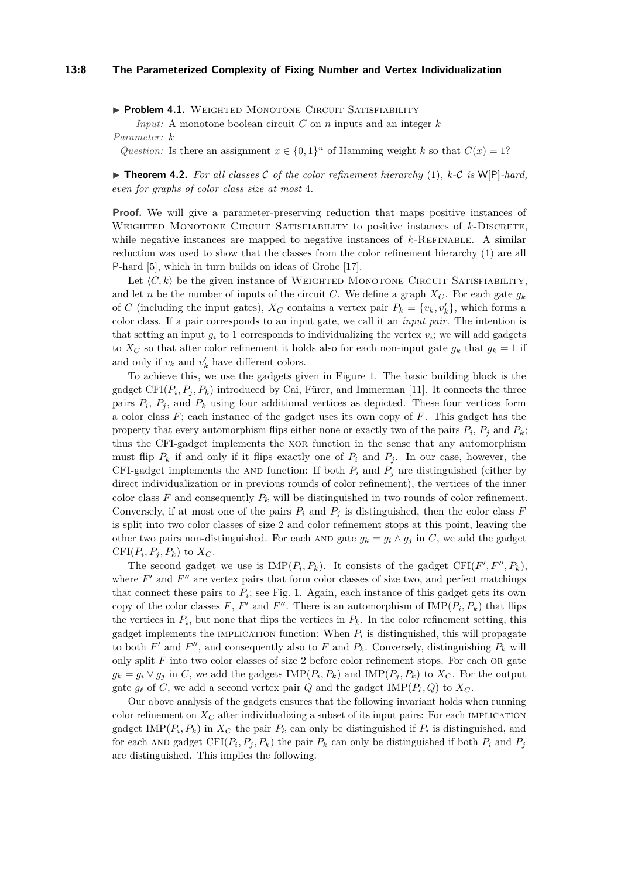#### **13:8 The Parameterized Complexity of Fixing Number and Vertex Individualization**

**Problem 4.1.** WEIGHTED MONOTONE CIRCUIT SATISFIABILITY

*Input:* A monotone boolean circuit *C* on *n* inputs and an integer *k Parameter: k*

*Question:* Is there an assignment  $x \in \{0,1\}^n$  of Hamming weight *k* so that  $C(x) = 1$ ?

<span id="page-7-0"></span> $\triangleright$  **Theorem 4.2.** For all classes C of the color refinement hierarchy [\(1\)](#page-2-0), k-C is W[P]-hard, *even for graphs of color class size at most* 4*.*

**Proof.** We will give a parameter-preserving reduction that maps positive instances of WEIGHTED MONOTONE CIRCUIT SATISFIABILITY to positive instances of *k*-DISCRETE, while negative instances are mapped to negative instances of  $k$ -REFINABLE. A similar reduction was used to show that the classes from the color refinement hierarchy [\(1\)](#page-2-0) are all P-hard [\[5\]](#page-12-8), which in turn builds on ideas of Grohe [\[17\]](#page-12-13).

Let  $\langle C, k \rangle$  be the given instance of WEIGHTED MONOTONE CIRCUIT SATISFIABILITY, and let *n* be the number of inputs of the circuit *C*. We define a graph  $X_C$ . For each gate  $g_k$ of *C* (including the input gates),  $X_C$  contains a vertex pair  $P_k = \{v_k, v'_k\}$ , which forms a color class. If a pair corresponds to an input gate, we call it an *input pair.* The intention is that setting an input  $g_i$  to 1 corresponds to individualizing the vertex  $v_i$ ; we will add gadgets to  $X_C$  so that after color refinement it holds also for each non-input gate  $g_k$  that  $g_k = 1$  if and only if  $v_k$  and  $v'_k$  have different colors.

To achieve this, we use the gadgets given in Figure [1.](#page-8-1) The basic building block is the gadget  $CFI(P_i, P_j, P_k)$  introduced by Cai, Fürer, and Immerman [\[11\]](#page-12-14). It connects the three pairs  $P_i$ ,  $P_j$ , and  $P_k$  using four additional vertices as depicted. These four vertices form a color class *F*; each instance of the gadget uses its own copy of *F*. This gadget has the property that every automorphism flips either none or exactly two of the pairs  $P_i$ ,  $P_j$  and  $P_k$ ; thus the CFI-gadget implements the xor function in the sense that any automorphism must flip  $P_k$  if and only if it flips exactly one of  $P_i$  and  $P_j$ . In our case, however, the CFI-gadget implements the AND function: If both  $P_i$  and  $P_j$  are distinguished (either by direct individualization or in previous rounds of color refinement), the vertices of the inner color class  $F$  and consequently  $P_k$  will be distinguished in two rounds of color refinement. Conversely, if at most one of the pairs  $P_i$  and  $P_j$  is distinguished, then the color class  $F$ is split into two color classes of size 2 and color refinement stops at this point, leaving the other two pairs non-distinguished. For each AND gate  $g_k = g_i \wedge g_j$  in *C*, we add the gadget CFI $(P_i, P_j, P_k)$  to  $X_C$ .

The second gadget we use is  $IMP(P_i, P_k)$ . It consists of the gadget  $CFI(F', F'', P_k)$ , where  $F'$  and  $F''$  are vertex pairs that form color classes of size two, and perfect matchings that connect these pairs to  $P_i$ ; see Fig. [1.](#page-8-1) Again, each instance of this gadget gets its own copy of the color classes  $F$ ,  $F'$  and  $F''$ . There is an automorphism of  $\text{IMP}(P_i, P_k)$  that flips the vertices in  $P_i$ , but none that flips the vertices in  $P_k$ . In the color refinement setting, this gadget implements the IMPLICATION function: When  $P_i$  is distinguished, this will propagate to both  $F'$  and  $F''$ , and consequently also to  $F$  and  $P_k$ . Conversely, distinguishing  $P_k$  will only split *F* into two color classes of size 2 before color refinement stops. For each OR gate  $g_k = g_i \vee g_j$  in *C*, we add the gadgets  $\text{IMP}(P_i, P_k)$  and  $\text{IMP}(P_j, P_k)$  to  $X_C$ . For the output gate  $g_{\ell}$  of *C*, we add a second vertex pair *Q* and the gadget IMP( $P_{\ell}$ , *Q*) to  $X_C$ .

Our above analysis of the gadgets ensures that the following invariant holds when running color refinement on  $X_C$  after individualizing a subset of its input pairs: For each IMPLICATION gadget IMP( $P_i$ ,  $P_k$ ) in  $X_C$  the pair  $P_k$  can only be distinguished if  $P_i$  is distinguished, and for each AND gadget  $CFI(P_i, P_j, P_k)$  the pair  $P_k$  can only be distinguished if both  $P_i$  and  $P_j$ are distinguished. This implies the following.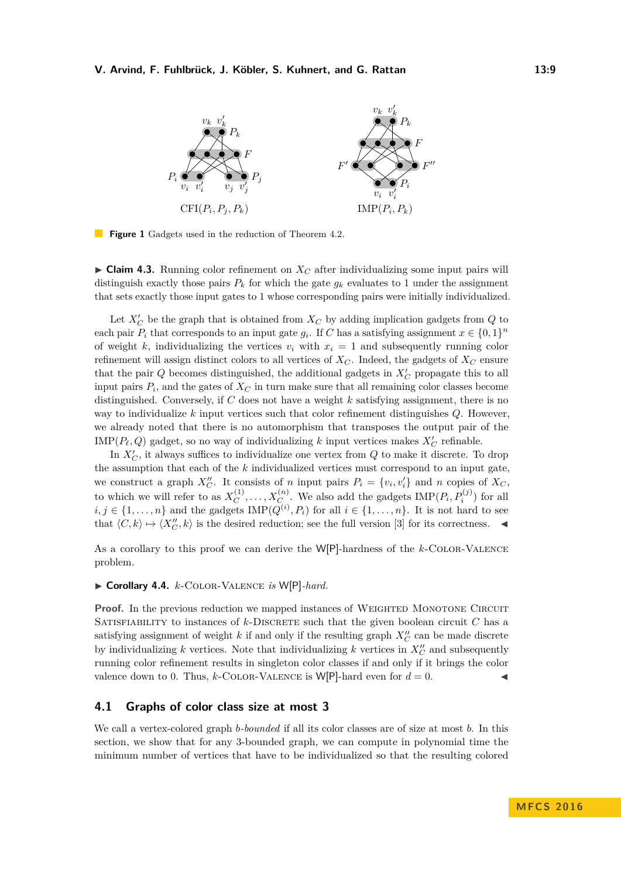<span id="page-8-1"></span>

**Figure 1** Gadgets used in the reduction of Theorem [4.2.](#page-7-0)

**Claim 4.3.** Running color refinement on  $X_C$  after individualizing some input pairs will distinguish exactly those pairs  $P_k$  for which the gate  $g_k$  evaluates to 1 under the assignment that sets exactly those input gates to 1 whose corresponding pairs were initially individualized.

Let  $X_C'$  be the graph that is obtained from  $X_C$  by adding implication gadgets from  $Q$  to each pair  $P_i$  that corresponds to an input gate  $g_i$ . If *C* has a satisfying assignment  $x \in \{0,1\}^n$ of weight k, individualizing the vertices  $v_i$  with  $x_i = 1$  and subsequently running color refinement will assign distinct colors to all vertices of  $X_C$ . Indeed, the gadgets of  $X_C$  ensure that the pair  $Q$  becomes distinguished, the additional gadgets in  $X_C'$  propagate this to all input pairs  $P_i$ , and the gates of  $X_C$  in turn make sure that all remaining color classes become distinguished. Conversely, if *C* does not have a weight *k* satisfying assignment, there is no way to individualize *k* input vertices such that color refinement distinguishes *Q*. However, we already noted that there is no automorphism that transposes the output pair of the  $\text{IMP}(P_\ell, Q)$  gadget, so no way of individualizing *k* input vertices makes  $X_C'$  refinable.

In  $X_C'$ , it always suffices to individualize one vertex from  $Q$  to make it discrete. To drop the assumption that each of the *k* individualized vertices must correspond to an input gate, we construct a graph  $X''_C$ . It consists of *n* input pairs  $P_i = \{v_i, v'_i\}$  and *n* copies of  $X_C$ , to which we will refer to as  $X_C^{(1)}$  $C^{(1)}, \ldots, X_{C}^{(n)}$ . We also add the gadgets  $\text{IMP}(P_i, P_i^{(j)})$  for all  $i, j \in \{1, \ldots, n\}$  and the gadgets  $\text{IMP}(Q^{(i)}, P_i)$  for all  $i \in \{1, \ldots, n\}$ . It is not hard to see that  $\langle C, k \rangle \mapsto \langle X''_C, k \rangle$  is the desired reduction; see the full version [\[3\]](#page-12-15) for its correctness.

As a corollary to this proof we can derive the W[P]-hardness of the *k*-Color-Valence problem.

#### <span id="page-8-0"></span>▶ Corollary 4.4. *k*-COLOR-VALENCE *is* W[P]-hard.

**Proof.** In the previous reduction we mapped instances of WEIGHTED MONOTONE CIRCUIT SATISFIABILITY to instances of  $k$ -DISCRETE such that the given boolean circuit  $C$  has a satisfying assignment of weight  $k$  if and only if the resulting graph  $X''_C$  can be made discrete by individualizing  $k$  vertices. Note that individualizing  $k$  vertices in  $X_C''$  and subsequently running color refinement results in singleton color classes if and only if it brings the color valence down to 0. Thus, *k*-COLOR-VALENCE is W[P]-hard even for  $d = 0$ .

## **4.1 Graphs of color class size at most 3**

We call a vertex-colored graph *b-bounded* if all its color classes are of size at most *b*. In this section, we show that for any 3-bounded graph, we can compute in polynomial time the minimum number of vertices that have to be individualized so that the resulting colored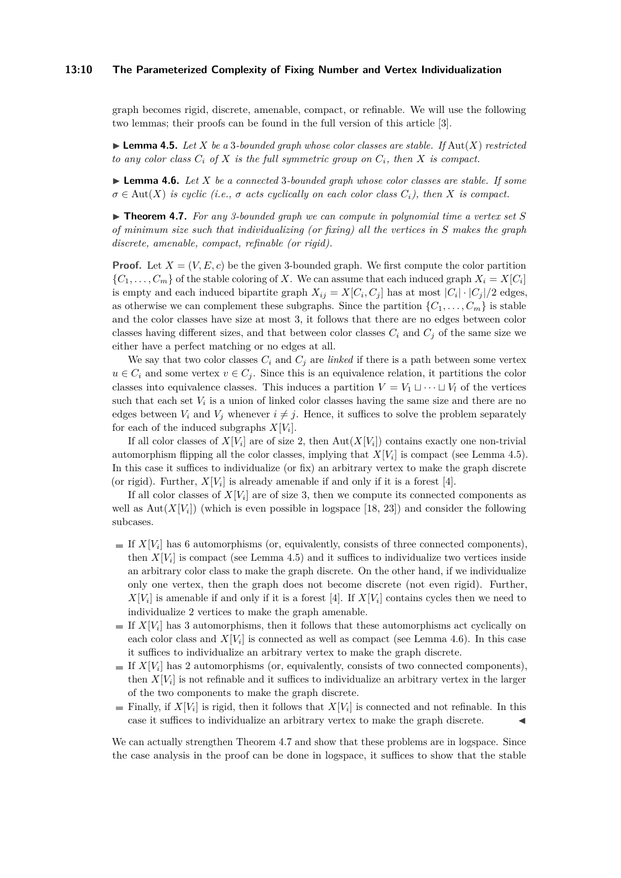#### **13:10 The Parameterized Complexity of Fixing Number and Vertex Individualization**

graph becomes rigid, discrete, amenable, compact, or refinable. We will use the following two lemmas; their proofs can be found in the full version of this article [\[3\]](#page-12-15).

<span id="page-9-0"></span> $\blacktriangleright$  **Lemma 4.5.** Let X be a 3*-bounded graph whose color classes are stable. If Aut(X) restricted to any color class*  $C_i$  *of*  $X$  *is the full symmetric group on*  $C_i$ *, then*  $X$  *is compact.* 

<span id="page-9-1"></span>► **Lemma 4.6.** *Let X be a connected* 3*-bounded graph whose color classes are stable. If some*  $\sigma \in \text{Aut}(X)$  *is cyclic (i.e.,*  $\sigma$  *acts cyclically on each color class*  $C_i$ *), then X is compact.* 

<span id="page-9-2"></span> $\triangleright$  **Theorem 4.7.** For any 3-bounded graph we can compute in polynomial time a vertex set S *of minimum size such that individualizing (or fixing) all the vertices in S makes the graph discrete, amenable, compact, refinable (or rigid).*

**Proof.** Let  $X = (V, E, c)$  be the given 3-bounded graph. We first compute the color partition  $\{C_1, \ldots, C_m\}$  of the stable coloring of *X*. We can assume that each induced graph  $X_i = X[C_i]$ is empty and each induced bipartite graph  $X_{ij} = X[C_i, C_j]$  has at most  $|C_i| \cdot |C_j|/2$  edges, as otherwise we can complement these subgraphs. Since the partition  $\{C_1, \ldots, C_m\}$  is stable and the color classes have size at most 3, it follows that there are no edges between color classes having different sizes, and that between color classes  $C_i$  and  $C_j$  of the same size we either have a perfect matching or no edges at all.

We say that two color classes  $C_i$  and  $C_j$  are *linked* if there is a path between some vertex  $u \in C_i$  and some vertex  $v \in C_j$ . Since this is an equivalence relation, it partitions the color classes into equivalence classes. This induces a partition  $V = V_1 \sqcup \cdots \sqcup V_l$  of the vertices such that each set  $V_i$  is a union of linked color classes having the same size and there are no edges between  $V_i$  and  $V_j$  whenever  $i \neq j$ . Hence, it suffices to solve the problem separately for each of the induced subgraphs  $X[V_i]$ .

If all color classes of  $X[V_i]$  are of size 2, then  $Aut(X[V_i])$  contains exactly one non-trivial automorphism flipping all the color classes, implying that  $X[V_i]$  is compact (see Lemma [4.5\)](#page-9-0). In this case it suffices to individualize (or fix) an arbitrary vertex to make the graph discrete (or rigid). Further,  $X[V_i]$  is already amenable if and only if it is a forest [\[4\]](#page-12-16).

If all color classes of  $X[V_i]$  are of size 3, then we compute its connected components as well as  $\text{Aut}(X[V_i])$  (which is even possible in logspace [\[18,](#page-13-8) [23\]](#page-13-9)) and consider the following subcases.

- If  $X[V_i]$  has 6 automorphisms (or, equivalently, consists of three connected components), then  $X[V_i]$  is compact (see Lemma [4.5\)](#page-9-0) and it suffices to individualize two vertices inside an arbitrary color class to make the graph discrete. On the other hand, if we individualize only one vertex, then the graph does not become discrete (not even rigid). Further,  $X[V_i]$  is amenable if and only if it is a forest [\[4\]](#page-12-16). If  $X[V_i]$  contains cycles then we need to individualize 2 vertices to make the graph amenable.
- If  $X[V_i]$  has 3 automorphisms, then it follows that these automorphisms act cyclically on each color class and  $X[V_i]$  is connected as well as compact (see Lemma [4.6\)](#page-9-1). In this case it suffices to individualize an arbitrary vertex to make the graph discrete.
- If  $X[V_i]$  has 2 automorphisms (or, equivalently, consists of two connected components), then  $X[V_i]$  is not refinable and it suffices to individualize an arbitrary vertex in the larger of the two components to make the graph discrete.
- Finally, if  $X[V_i]$  is rigid, then it follows that  $X[V_i]$  is connected and not refinable. In this case it suffices to individualize an arbitrary vertex to make the graph discrete.

We can actually strengthen Theorem [4.7](#page-9-2) and show that these problems are in logspace. Since the case analysis in the proof can be done in logspace, it suffices to show that the stable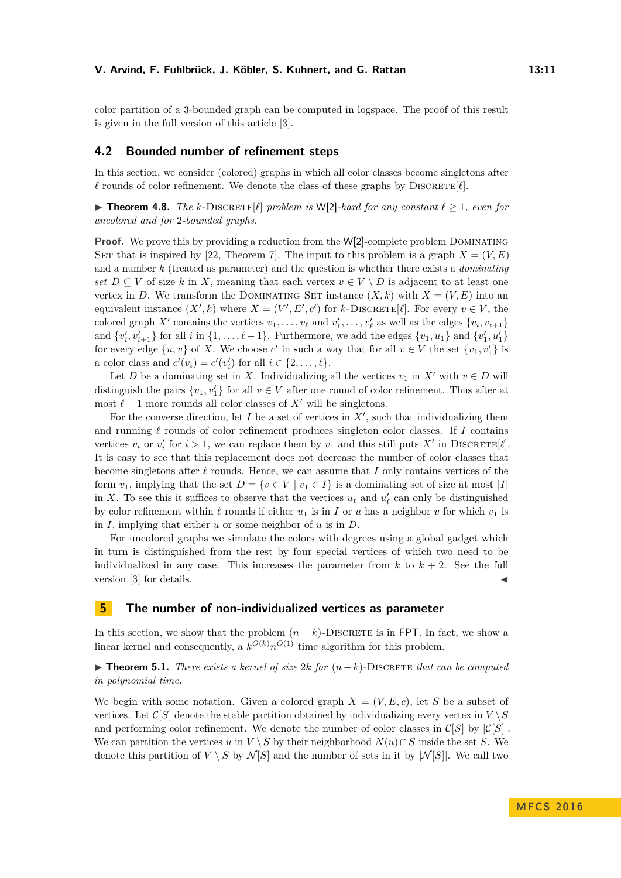color partition of a 3-bounded graph can be computed in logspace. The proof of this result is given in the full version of this article [\[3\]](#page-12-15).

# **4.2 Bounded number of refinement steps**

In this section, we consider (colored) graphs in which all color classes become singletons after  $\ell$  rounds of color refinement. We denote the class of these graphs by DISCRETE $[\ell]$ .

▶ **Theorem 4.8.** *The k*-DISCRETE[ $\ell$ ] *problem is* W[2]*-hard for any constant*  $\ell \geq 1$ *, even for uncolored and for* 2*-bounded graphs.*

**Proof.** We prove this by providing a reduction from the W[2]-complete problem DOMINATING SET that is inspired by [\[22,](#page-13-10) Theorem 7]. The input to this problem is a graph  $X = (V, E)$ and a number *k* (treated as parameter) and the question is whether there exists a *dominating set*  $D \subseteq V$  of size *k* in *X*, meaning that each vertex  $v \in V \setminus D$  is adjacent to at least one vertex in *D*. We transform the DOMINATING SET instance  $(X, k)$  with  $X = (V, E)$  into an equivalent instance  $(X', k)$  where  $X = (V', E', c')$  for *k*-DISCRETE[ $\ell$ ]. For every  $v \in V$ , the colored graph  $X'$  contains the vertices  $v_1, \ldots, v_\ell$  and  $v'_1, \ldots, v'_\ell$  as well as the edges  $\{v_i, v_{i+1}\}\$ and  $\{v'_i, v'_{i+1}\}\$  for all *i* in  $\{1, \ldots, \ell-1\}$ . Furthermore, we add the edges  $\{v_1, u_1\}$  and  $\{v'_1, u'_1\}$ for every edge  $\{u, v\}$  of X. We choose  $c'$  in such a way that for all  $v \in V$  the set  $\{v_1, v'_1\}$  is a color class and  $c'(v_i) = c'(v'_i)$  for all  $i \in \{2, ..., \ell\}$ .

Let *D* be a dominating set in *X*. Individualizing all the vertices  $v_1$  in  $X'$  with  $v \in D$  will distinguish the pairs  $\{v_1, v'_1\}$  for all  $v \in V$  after one round of color refinement. Thus after at most  $\ell - 1$  more rounds all color classes of  $X'$  will be singletons.

For the converse direction, let  $I$  be a set of vertices in  $X'$ , such that individualizing them and running  $\ell$  rounds of color refinement produces singleton color classes. If *I* contains vertices  $v_i$  or  $v'_i$  for  $i > 1$ , we can replace them by  $v_1$  and this still puts  $X'$  in DISCRETE[ $\ell$ ]. It is easy to see that this replacement does not decrease the number of color classes that become singletons after  $\ell$  rounds. Hence, we can assume that *I* only contains vertices of the form  $v_1$ , implying that the set  $D = \{v \in V \mid v_1 \in I\}$  is a dominating set of size at most |*I*| in *X*. To see this it suffices to observe that the vertices  $u_\ell$  and  $u'_\ell$  can only be distinguished by color refinement within  $\ell$  rounds if either  $u_1$  is in *I* or *u* has a neighbor *v* for which  $v_1$  is in *I*, implying that either *u* or some neighbor of *u* is in *D*.

For uncolored graphs we simulate the colors with degrees using a global gadget which in turn is distinguished from the rest by four special vertices of which two need to be individualized in any case. This increases the parameter from  $k$  to  $k + 2$ . See the full version  $[3]$  for details.

# <span id="page-10-0"></span>**5 The number of non-individualized vertices as parameter**

In this section, we show that the problem  $(n - k)$ -DISCRETE is in FPT. In fact, we show a linear kernel and consequently, a  $k^{O(k)}n^{O(1)}$  time algorithm for this problem.

<span id="page-10-1"></span>I **Theorem 5.1.** *There exists a kernel of size* 2*k for* (*n*−*k*)-Discrete *that can be computed in polynomial time.*

We begin with some notation. Given a colored graph  $X = (V, E, c)$ , let *S* be a subset of vertices. Let  $\mathcal{C}[S]$  denote the stable partition obtained by individualizing every vertex in  $V \setminus S$ and performing color refinement. We denote the number of color classes in  $\mathcal{C}[S]$  by  $|\mathcal{C}[S]|$ . We can partition the vertices *u* in  $V \setminus S$  by their neighborhood  $N(u) \cap S$  inside the set *S*. We denote this partition of  $V \setminus S$  by  $\mathcal{N}[S]$  and the number of sets in it by  $|\mathcal{N}[S]|$ . We call two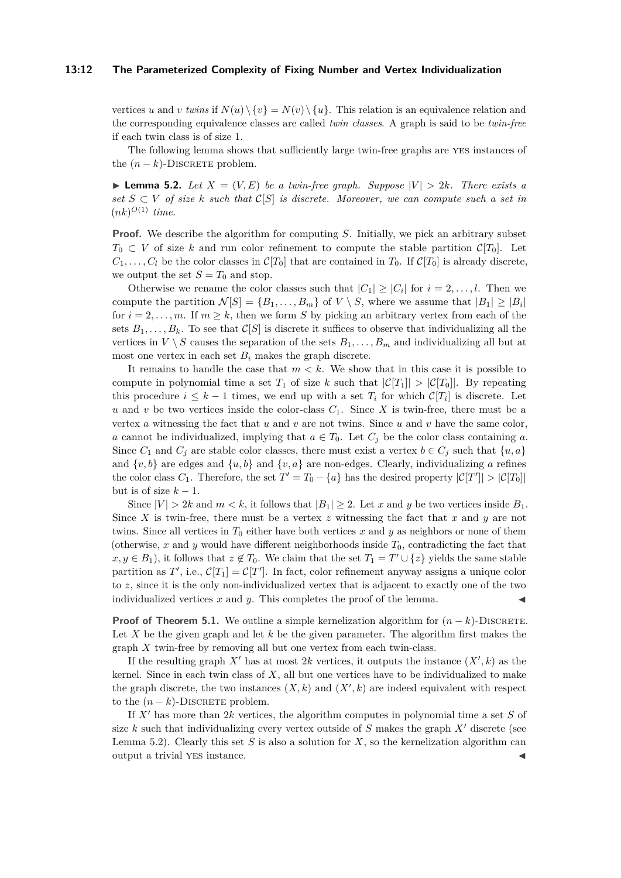#### **13:12 The Parameterized Complexity of Fixing Number and Vertex Individualization**

vertices *u* and *v twins* if  $N(u) \setminus \{v\} = N(v) \setminus \{u\}$ . This relation is an equivalence relation and the corresponding equivalence classes are called *twin classes*. A graph is said to be *twin-free* if each twin class is of size 1.

The following lemma shows that sufficiently large twin-free graphs are yes instances of the  $(n - k)$ -DISCRETE problem.

<span id="page-11-0"></span>**I Lemma 5.2.** Let  $X = (V, E)$  be a twin-free graph. Suppose  $|V| > 2k$ . There exists a *set*  $S ⊂ V$  *of size*  $k$  *such that*  $C[S]$  *is discrete. Moreover, we can compute such a set in*  $(nk)^{O(1)}$  *time.* 

**Proof.** We describe the algorithm for computing *S*. Initially, we pick an arbitrary subset  $T_0 \subset V$  of size *k* and run color refinement to compute the stable partition  $\mathcal{C}[T_0]$ . Let  $C_1, \ldots, C_l$  be the color classes in  $\mathcal{C}[T_0]$  that are contained in  $T_0$ . If  $\mathcal{C}[T_0]$  is already discrete, we output the set  $S = T_0$  and stop.

Otherwise we rename the color classes such that  $|C_1| \geq |C_i|$  for  $i = 2, \ldots, l$ . Then we compute the partition  $\mathcal{N}[S] = \{B_1, \ldots, B_m\}$  of  $V \setminus S$ , where we assume that  $|B_1| \geq |B_i|$ for  $i = 2, \ldots, m$ . If  $m \geq k$ , then we form *S* by picking an arbitrary vertex from each of the sets  $B_1, \ldots, B_k$ . To see that  $\mathcal{C}[S]$  is discrete it suffices to observe that individualizing all the vertices in  $V \setminus S$  causes the separation of the sets  $B_1, \ldots, B_m$  and individualizing all but at most one vertex in each set  $B_i$  makes the graph discrete.

It remains to handle the case that *m < k*. We show that in this case it is possible to compute in polynomial time a set  $T_1$  of size k such that  $|\mathcal{C}[T_1]| > |\mathcal{C}[T_0]|$ . By repeating this procedure  $i \leq k-1$  times, we end up with a set  $T_i$  for which  $\mathcal{C}[T_i]$  is discrete. Let *u* and *v* be two vertices inside the color-class  $C_1$ . Since *X* is twin-free, there must be a vertex *a* witnessing the fact that *u* and *v* are not twins. Since *u* and *v* have the same color, *a* cannot be individualized, implying that  $a \in T_0$ . Let  $C_j$  be the color class containing *a*. Since  $C_1$  and  $C_j$  are stable color classes, there must exist a vertex  $b \in C_j$  such that  $\{u, a\}$ and  $\{v, b\}$  are edges and  $\{u, b\}$  and  $\{v, a\}$  are non-edges. Clearly, individualizing *a* refines the color class  $C_1$ . Therefore, the set  $T' = T_0 - \{a\}$  has the desired property  $|\mathcal{C}[T']| > |\mathcal{C}[T_0]|$ but is of size  $k-1$ .

Since  $|V| > 2k$  and  $m < k$ , it follows that  $|B_1| \geq 2$ . Let *x* and *y* be two vertices inside  $B_1$ . Since *X* is twin-free, there must be a vertex *z* witnessing the fact that *x* and *y* are not twins. Since all vertices in  $T_0$  either have both vertices x and y as neighbors or none of them (otherwise,  $x$  and  $y$  would have different neighborhoods inside  $T_0$ , contradicting the fact that  $x, y \in B_1$ ), it follows that  $z \notin T_0$ . We claim that the set  $T_1 = T' \cup \{z\}$  yields the same stable partition as  $T'$ , i.e.,  $\mathcal{C}[T_1] = \mathcal{C}[T']$ . In fact, color refinement anyway assigns a unique color to *z*, since it is the only non-individualized vertex that is adjacent to exactly one of the two individualized vertices  $x$  and  $y$ . This completes the proof of the lemma.

**Proof of Theorem [5.1.](#page-10-1)** We outline a simple kernelization algorithm for  $(n - k)$ -DISCRETE. Let *X* be the given graph and let *k* be the given parameter. The algorithm first makes the graph *X* twin-free by removing all but one vertex from each twin-class.

If the resulting graph  $X'$  has at most  $2k$  vertices, it outputs the instance  $(X', k)$  as the kernel. Since in each twin class of *X*, all but one vertices have to be individualized to make the graph discrete, the two instances  $(X, k)$  and  $(X', k)$  are indeed equivalent with respect to the  $(n - k)$ -DISCRETE problem.

If  $X<sup>'</sup>$  has more than  $2k$  vertices, the algorithm computes in polynomial time a set  $S$  of size  $k$  such that individualizing every vertex outside of  $S$  makes the graph  $X<sup>'</sup>$  discrete (see Lemma [5.2\)](#page-11-0). Clearly this set *S* is also a solution for *X*, so the kernelization algorithm can output a trivial YES instance.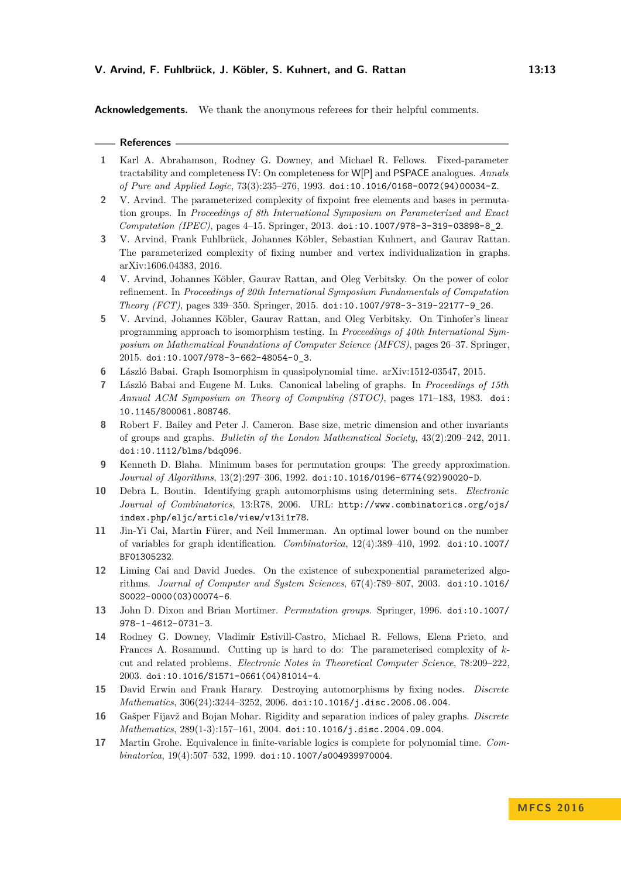**Acknowledgements.** We thank the anonymous referees for their helpful comments.

#### **References**

- <span id="page-12-12"></span>**1** Karl A. Abrahamson, Rodney G. Downey, and Michael R. Fellows. Fixed-parameter tractability and completeness IV: On completeness for W[P] and PSPACE analogues. *Annals of Pure and Applied Logic*, 73(3):235–276, 1993. [doi:10.1016/0168-0072\(94\)00034-Z](http://dx.doi.org/10.1016/0168-0072(94)00034-Z).
- <span id="page-12-5"></span>**2** V. Arvind. The parameterized complexity of fixpoint free elements and bases in permutation groups. In *Proceedings of 8th International Symposium on Parameterized and Exact Computation (IPEC)*, pages 4–15. Springer, 2013. [doi:10.1007/978-3-319-03898-8\\_2](http://dx.doi.org/10.1007/978-3-319-03898-8_2).
- <span id="page-12-15"></span>**3** V. Arvind, Frank Fuhlbrück, Johannes Köbler, Sebastian Kuhnert, and Gaurav Rattan. The parameterized complexity of fixing number and vertex individualization in graphs. [arXiv:1606.04383,](https://arxiv.org/abs/1606.04383) 2016.
- <span id="page-12-16"></span>**4** V. Arvind, Johannes Köbler, Gaurav Rattan, and Oleg Verbitsky. On the power of color refinement. In *Proceedings of 20th International Symposium Fundamentals of Computation Theory (FCT)*, pages 339–350. Springer, 2015. [doi:10.1007/978-3-319-22177-9\\_26](http://dx.doi.org/10.1007/978-3-319-22177-9_26).
- <span id="page-12-8"></span>**5** V. Arvind, Johannes Köbler, Gaurav Rattan, and Oleg Verbitsky. On Tinhofer's linear programming approach to isomorphism testing. In *Proceedings of 40th International Symposium on Mathematical Foundations of Computer Science (MFCS)*, pages 26–37. Springer, 2015. [doi:10.1007/978-3-662-48054-0\\_3](http://dx.doi.org/10.1007/978-3-662-48054-0_3).
- <span id="page-12-7"></span>**6** László Babai. Graph Isomorphism in quasipolynomial time. [arXiv:1512-03547,](https://arxiv.org/abs/1512-03547) 2015.
- <span id="page-12-6"></span>**7** László Babai and Eugene M. Luks. Canonical labeling of graphs. In *Proceedings of 15th Annual ACM Symposium on Theory of Computing (STOC)*, pages 171–183, 1983. [doi:](http://dx.doi.org/10.1145/800061.808746) [10.1145/800061.808746](http://dx.doi.org/10.1145/800061.808746).
- <span id="page-12-3"></span>**8** Robert F. Bailey and Peter J. Cameron. Base size, metric dimension and other invariants of groups and graphs. *Bulletin of the London Mathematical Society*, 43(2):209–242, 2011. [doi:10.1112/blms/bdq096](http://dx.doi.org/10.1112/blms/bdq096).
- <span id="page-12-4"></span>**9** Kenneth D. Blaha. Minimum bases for permutation groups: The greedy approximation. *Journal of Algorithms*, 13(2):297–306, 1992. [doi:10.1016/0196-6774\(92\)90020-D](http://dx.doi.org/10.1016/0196-6774(92)90020-D).
- <span id="page-12-0"></span>**10** Debra L. Boutin. Identifying graph automorphisms using determining sets. *Electronic Journal of Combinatorics*, 13:R78, 2006. URL: [http://www.combinatorics.org/ojs/](http://www.combinatorics.org/ojs/index.php/eljc/article/view/v13i1r78) [index.php/eljc/article/view/v13i1r78](http://www.combinatorics.org/ojs/index.php/eljc/article/view/v13i1r78).
- <span id="page-12-14"></span>**11** Jin-Yi Cai, Martin Fürer, and Neil Immerman. An optimal lower bound on the number of variables for graph identification. *Combinatorica*, 12(4):389–410, 1992. [doi:10.1007/](http://dx.doi.org/10.1007/BF01305232) [BF01305232](http://dx.doi.org/10.1007/BF01305232).
- <span id="page-12-9"></span>**12** Liming Cai and David Juedes. On the existence of subexponential parameterized algorithms. *Journal of Computer and System Sciences*, 67(4):789–807, 2003. [doi:10.1016/](http://dx.doi.org/10.1016/S0022-0000(03)00074-6) [S0022-0000\(03\)00074-6](http://dx.doi.org/10.1016/S0022-0000(03)00074-6).
- <span id="page-12-11"></span>**13** John D. Dixon and Brian Mortimer. *Permutation groups*. Springer, 1996. [doi:10.1007/](http://dx.doi.org/10.1007/978-1-4612-0731-3) [978-1-4612-0731-3](http://dx.doi.org/10.1007/978-1-4612-0731-3).
- <span id="page-12-10"></span>**14** Rodney G. Downey, Vladimir Estivill-Castro, Michael R. Fellows, Elena Prieto, and Frances A. Rosamund. Cutting up is hard to do: The parameterised complexity of *k*cut and related problems. *Electronic Notes in Theoretical Computer Science*, 78:209–222, 2003. [doi:10.1016/S1571-0661\(04\)81014-4](http://dx.doi.org/10.1016/S1571-0661(04)81014-4).
- <span id="page-12-1"></span>**15** David Erwin and Frank Harary. Destroying automorphisms by fixing nodes. *Discrete Mathematics*, 306(24):3244–3252, 2006. [doi:10.1016/j.disc.2006.06.004](http://dx.doi.org/10.1016/j.disc.2006.06.004).
- <span id="page-12-2"></span>**16** Gašper Fijavž and Bojan Mohar. Rigidity and separation indices of paley graphs. *Discrete Mathematics*, 289(1-3):157–161, 2004. [doi:10.1016/j.disc.2004.09.004](http://dx.doi.org/10.1016/j.disc.2004.09.004).
- <span id="page-12-13"></span>**17** Martin Grohe. Equivalence in finite-variable logics is complete for polynomial time. *Combinatorica*, 19(4):507–532, 1999. [doi:10.1007/s004939970004](http://dx.doi.org/10.1007/s004939970004).